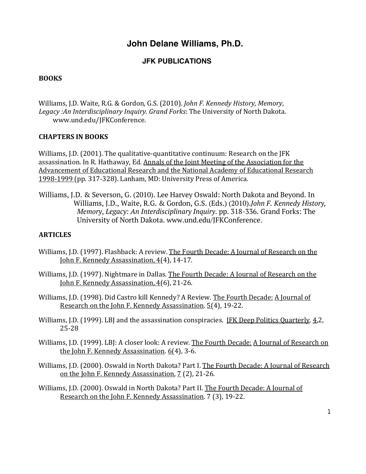# **John Delane Williams, Ph.D.**

# **JFK PUBLICATIONS**

## **BOOKS**

Williams, J.D. Waite, R.G. & Gordon, G.S. (2010). *John F. Kennedy History, Memory*, Legacy :An Interdisciplinary Inquiry. Grand Forks: The University of North Dakota. www.und.edu/JFKConference. 

## **CHAPTERS IN BOOKS**

Williams, J.D.  $(2001)$ . The qualitative-quantitative continuum: Research on the JFK assassination. In R. Hathaway, Ed. Annals of the Joint Meeting of the Association for the Advancement of Educational Research and the National Academy of Educational Research 1998-1999 (pp. 317-328). Lanham, MD: University Press of America.

Williams, J.D. & Severson, G. (2010). Lee Harvey Oswald: North Dakota and Beyond. In Williams, J.D., Waite, R.G. & Gordon, G.S. (Eds.) (2010).*John F. Kennedy History, Memory*, *Legacy: An Interdisciplinary Inquiry*. pp. 318-336. Grand Forks: The University of North Dakota. www.und.edu/JFKConference.

## **ARTICLES**

- Williams, J.D. (1997). Flashback: A review. The Fourth Decade: A Journal of Research on the John F. Kennedy Assassination, 4(4), 14-17.
- Williams, J.D. (1997). Nightmare in Dallas. The Fourth Decade: A Journal of Research on the John F. Kennedy Assassination, 4(6), 21-26.
- Williams, J.D. (1998). Did Castro kill Kennedy? A Review. The Fourth Decade: A Journal of Research on the John F. Kennedy Assassination.  $5(4)$ , 19-22.
- Williams, J.D. (1999). LBJ and the assassination conspiracies. JFK Deep Politics Quarterly. 4,2, 25-28
- Williams, J.D. (1999). LBJ: A closer look: A review. The Fourth Decade: A Journal of Research on the John F. Kennedy Assassination.  $6(4)$ , 3-6.
- Williams, J.D. (2000). Oswald in North Dakota? Part I. The Fourth Decade: A Journal of Research on the John F. Kennedy Assassination, 7 (2), 21-26.

Williams, J.D. (2000). Oswald in North Dakota? Part II. The Fourth Decade: A Journal of Research on the John F. Kennedy Assassination. 7 (3), 19-22.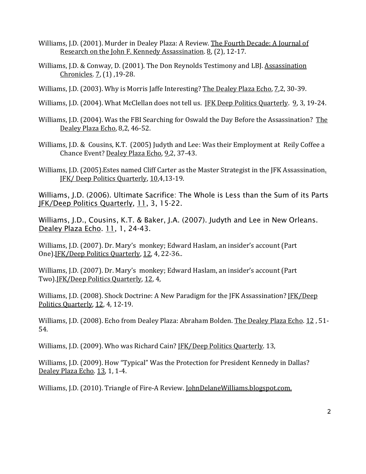- Williams, J.D. (2001). Murder in Dealey Plaza: A Review. The Fourth Decade: A Journal of Research on the John F. Kennedy Assassination. 8, (2), 12-17.
- Williams, J.D. & Conway, D. (2001). The Don Reynolds Testimony and LBJ. Assassination Chronicles. 7, (1), 19-28.
- Williams, J.D. (2003). Why is Morris Jaffe Interesting? The Dealey Plaza Echo, 7,2, 30-39.
- Williams, J.D. (2004). What McClellan does not tell us. JFK Deep Politics Quarterly. 9, 3, 19-24.
- Williams, J.D. (2004). Was the FBI Searching for Oswald the Day Before the Assassination? The Dealey Plaza Echo, 8,2, 46-52.
- Williams, J.D. & Cousins, K.T. (2005) Judyth and Lee: Was their Employment at Reily Coffee a Chance Event? Dealey Plaza Echo, 9,2, 37-43.
- Williams, J.D. (2005). Estes named Cliff Carter as the Master Strategist in the JFK Assassination. JFK/ Deep Politics Quarterly, 10,4,13-19.

Williams, J.D. (2006). Ultimate Sacrifice: The Whole is Less than the Sum of its Parts JFK/Deep Politics Quarterly, 11, 3, 15-22.

Williams, J.D., Cousins, K.T. & Baker, J.A. (2007). Judyth and Lee in New Orleans. Dealey Plaza Echo. 11, 1, 24-43.

Williams, J.D. (2007). Dr. Mary's monkey; Edward Haslam, an insider's account (Part One).JFK/Deep Politics Quarterly, 12, 4, 22-36..

Williams, J.D. (2007). Dr. Mary's monkey; Edward Haslam, an insider's account (Part Two).JFK/Deep Politics Quarterly, 12, 4,

Williams, J.D. (2008). Shock Doctrine: A New Paradigm for the JFK Assassination? JFK/Deep Politics Quarterly, 12, 4, 12-19.

Williams, J.D. (2008). Echo from Dealey Plaza: Abraham Bolden. The Dealey Plaza Echo. 12, 51-54.

Williams, J.D. (2009). Who was Richard Cain? [FK/Deep Politics Quarterly. 13,

Williams, J.D. (2009). How "Typical" Was the Protection for President Kennedy in Dallas? Dealey Plaza Echo. 13, 1, 1-4.

Williams, J.D. (2010). Triangle of Fire-A Review. JohnDelaneWilliams.blogspot.com.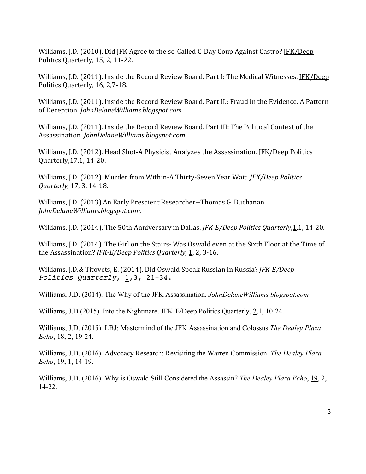Williams, J.D. (2010). Did JFK Agree to the so-Called C-Day Coup Against Castro? JFK/Deep Politics Quarterly, 15, 2, 11-22.

Williams, J.D. (2011). Inside the Record Review Board. Part I: The Medical Witnesses. JFK/Deep Politics Quarterly, 16, 2,7-18.

Williams, J.D. (2011). Inside the Record Review Board. Part II.: Fraud in the Evidence. A Pattern of Deception. *JohnDelaneWilliams.blogspot.com*.

Williams, J.D. (2011). Inside the Record Review Board. Part III: The Political Context of the Assassination. *JohnDelaneWilliams.blogspot.com*. 

Williams, J.D. (2012). Head Shot-A Physicist Analyzes the Assassination. JFK/Deep Politics Quarterly, 17, 1, 14-20.

Williams, J.D. (2012). Murder from Within-A Thirty-Seven Year Wait. *JFK/Deep Politics Quarterly,* 17, 3, 14-18.

Williams, J.D. (2013).An Early Prescient Researcher--Thomas G. Buchanan. *JohnDelaneWilliams.blogspot.com*.

Williams, J.D. (2014). The 50th Anniversary in Dallas. *JFK-E/Deep Politics Quarterly*, 1, 1, 14-20.

Williams, J.D. (2014). The Girl on the Stairs- Was Oswald even at the Sixth Floor at the Time of the Assassination? *JFK-E/Deep Politics Quarterly*, 1, 2, 3-16.

Williams, J.D.& Titovets, E. (2014). Did Oswald Speak Russian in Russia? *JFK-E/Deep Politics Quarterly*, 1,3, 21-34.

Williams, J.D. (2014). The Why of the JFK Assassination. *JohnDelaneWilliams.blogspot.com*

Williams, J.D (2015). Into the Nightmare. JFK-E/Deep Politics Quarterly, 2,1, 10-24.

Williams, J.D. (2015). LBJ: Mastermind of the JFK Assassination and Colossus.*The Dealey Plaza Echo*, 18, 2, 19-24.

Williams, J.D. (2016). Advocacy Research: Revisiting the Warren Commission. *The Dealey Plaza Echo*, 19, 1, 14-19.

Williams, J.D. (2016). Why is Oswald Still Considered the Assassin? *The Dealey Plaza Echo*, 19, 2, 14-22.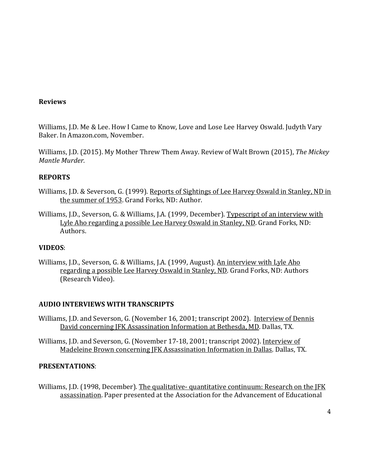## **Reviews**

Williams, J.D. Me & Lee. How I Came to Know, Love and Lose Lee Harvey Oswald. Judyth Vary Baker. In Amazon.com, November.

Williams, J.D. (2015). My Mother Threw Them Away. Review of Walt Brown (2015), *The Mickey Mantle Murder.*

# **REPORTS**

- Williams, J.D. & Severson, G. (1999). Reports of Sightings of Lee Harvey Oswald in Stanley, ND in the summer of 1953. Grand Forks, ND: Author.
- Williams, J.D., Severson, G. & Williams, J.A. (1999, December). Typescript of an interview with Lyle Aho regarding a possible Lee Harvey Oswald in Stanley, ND. Grand Forks, ND: Authors.

## **VIDEOS**:

Williams, J.D., Severson, G. & Williams, J.A. (1999, August). An interview with Lyle Aho regarding a possible Lee Harvey Oswald in Stanley, ND. Grand Forks, ND: Authors (Research Video).

# **AUDIO INTERVIEWS WITH TRANSCRIPTS**

- Williams, J.D. and Severson, G. (November 16, 2001; transcript 2002). Interview of Dennis David concerning JFK Assassination Information at Bethesda, MD. Dallas, TX.
- Williams, J.D. and Severson, G. (November 17-18, 2001; transcript 2002). Interview of Madeleine Brown concerning JFK Assassination Information in Dallas. Dallas, TX.

## **PRESENTATIONS**:

Williams, J.D. (1998, December). The qualitative- quantitative continuum: Research on the JFK assassination. Paper presented at the Association for the Advancement of Educational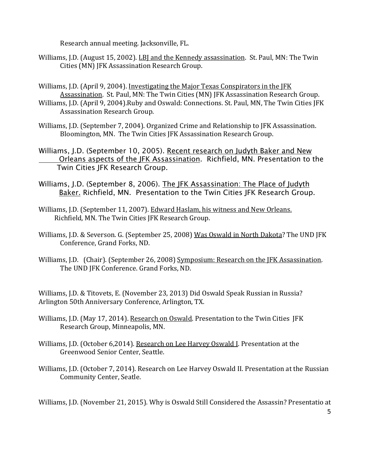Research annual meeting. Jacksonville, FL.

- Williams, J.D. (August 15, 2002). LBJ and the Kennedy assassination. St. Paul, MN: The Twin Cities (MN) JFK Assassination Research Group.
- Williams, J.D. (April 9, 2004). Investigating the Major Texas Conspirators in the JFK Assassination. St. Paul, MN: The Twin Cities (MN) JFK Assassination Research Group.
- Williams, J.D. (April 9, 2004).Ruby and Oswald: Connections. St. Paul, MN, The Twin Cities JFK Assassination Research Group.
- Williams, J.D. (September 7, 2004). Organized Crime and Relationship to JFK Assassination. Bloomington, MN. The Twin Cities JFK Assassination Research Group.
- Williams, J.D. (September 10, 2005). Recent research on Judyth Baker and New Orleans aspects of the JFK Assassination. Richfield, MN. Presentation to the Twin Cities JFK Research Group.
- Williams, J.D. (September 8, 2006). The JFK Assassination: The Place of Judyth Baker. Richfield, MN. Presentation to the Twin Cities JFK Research Group.
- Williams, J.D. (September 11, 2007). Edward Haslam, his witness and New Orleans. Richfield, MN. The Twin Cities JFK Research Group.
- Williams, J.D. & Severson. G. (September 25, 2008) Was Oswald in North Dakota? The UND JFK Conference, Grand Forks, ND.
- Williams, J.D. (Chair). (September 26, 2008) Symposium: Research on the JFK Assassination. The UND JFK Conference. Grand Forks, ND.

Williams, J.D. & Titovets, E. (November 23, 2013) Did Oswald Speak Russian in Russia? Arlington 50th Anniversary Conference, Arlington, TX.

- Williams, J.D. (May 17, 2014). Research on Oswald. Presentation to the Twin Cities JFK Research Group, Minneapolis, MN.
- Williams, J.D. (October 6,2014). Research on Lee Harvey Oswald I. Presentation at the Greenwood Senior Center, Seattle.
- Williams, J.D. (October 7, 2014). Research on Lee Harvey Oswald II. Presentation at the Russian Community Center, Seatle.

Williams, J.D. (November 21, 2015). Why is Oswald Still Considered the Assassin? Presentatio at